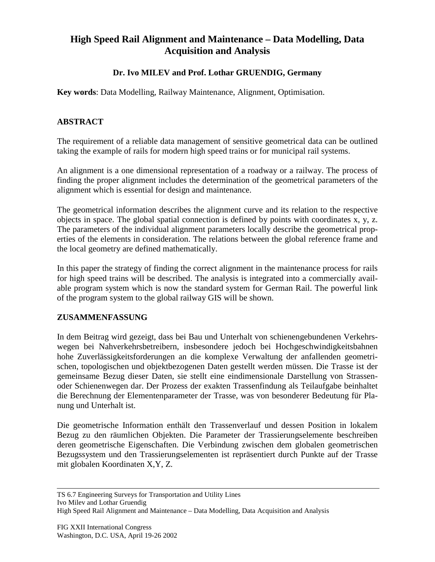# **High Speed Rail Alignment and Maintenance – Data Modelling, Data Acquisition and Analysis**

## **Dr. Ivo MILEV and Prof. Lothar GRUENDIG, Germany**

**Key words**: Data Modelling, Railway Maintenance, Alignment, Optimisation.

### **ABSTRACT**

The requirement of a reliable data management of sensitive geometrical data can be outlined taking the example of rails for modern high speed trains or for municipal rail systems.

An alignment is a one dimensional representation of a roadway or a railway. The process of finding the proper alignment includes the determination of the geometrical parameters of the alignment which is essential for design and maintenance.

The geometrical information describes the alignment curve and its relation to the respective objects in space. The global spatial connection is defined by points with coordinates x, y, z. The parameters of the individual alignment parameters locally describe the geometrical properties of the elements in consideration. The relations between the global reference frame and the local geometry are defined mathematically.

In this paper the strategy of finding the correct alignment in the maintenance process for rails for high speed trains will be described. The analysis is integrated into a commercially available program system which is now the standard system for German Rail. The powerful link of the program system to the global railway GIS will be shown.

#### **ZUSAMMENFASSUNG**

In dem Beitrag wird gezeigt, dass bei Bau und Unterhalt von schienengebundenen Verkehrswegen bei Nahverkehrsbetreibern, insbesondere jedoch bei Hochgeschwindigkeitsbahnen hohe Zuverlässigkeitsforderungen an die komplexe Verwaltung der anfallenden geometrischen, topologischen und objektbezogenen Daten gestellt werden müssen. Die Trasse ist der gemeinsame Bezug dieser Daten, sie stellt eine eindimensionale Darstellung von Strassenoder Schienenwegen dar. Der Prozess der exakten Trassenfindung als Teilaufgabe beinhaltet die Berechnung der Elementenparameter der Trasse, was von besonderer Bedeutung für Planung und Unterhalt ist.

Die geometrische Information enthält den Trassenverlauf und dessen Position in lokalem Bezug zu den räumlichen Objekten. Die Parameter der Trassierungselemente beschreiben deren geometrische Eigenschaften. Die Verbindung zwischen dem globalen geometrischen Bezugssystem und den Trassierungselementen ist repräsentiert durch Punkte auf der Trasse mit globalen Koordinaten X,Y, Z.

TS 6.7 Engineering Surveys for Transportation and Utility Lines Ivo Milev and Lothar Gruendig

High Speed Rail Alignment and Maintenance – Data Modelling, Data Acquisition and Analysis